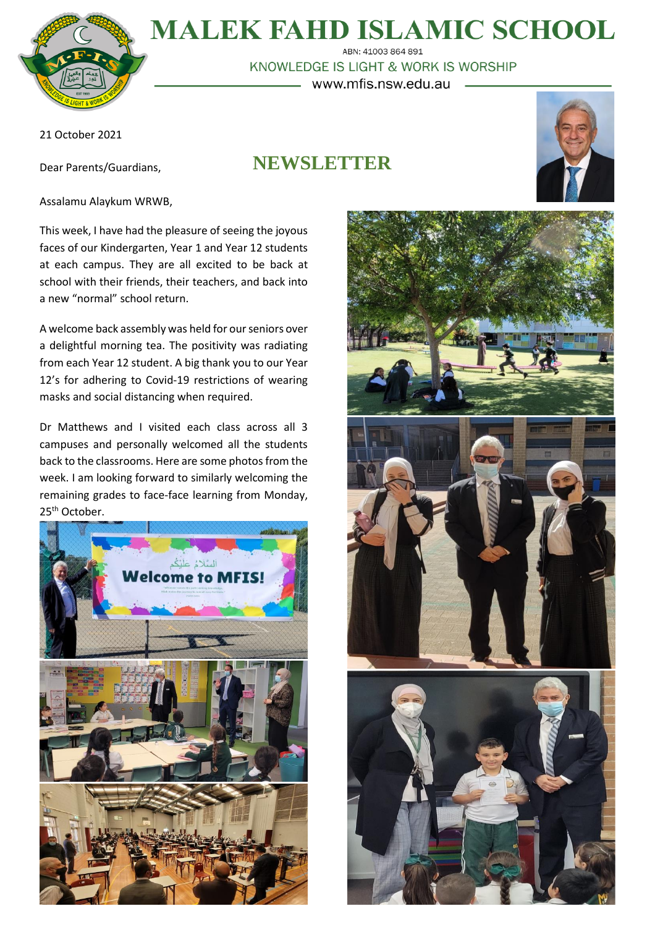

# **MALEK FAHD ISLAMIC SCHOOL**

ABN: 41003 864 891 KNOWLEDGE IS LIGHT & WORK IS WORSHIP www.mfis.nsw.edu.au

21 October 2021

Dear Parents/Guardians,

## **NEWSLETTER**





Assalamu Alaykum WRWB,

This week, I have had the pleasure of seeing the joyous faces of our Kindergarten, Year 1 and Year 12 students at each campus. They are all excited to be back at school with their friends, their teachers, and back into a new "normal" school return.

A welcome back assembly was held for our seniors over a delightful morning tea. The positivity was radiating from each Year 12 student. A big thank you to our Year 12's for adhering to Covid-19 restrictions of wearing masks and social distancing when required.

Dr Matthews and I visited each class across all 3 campuses and personally welcomed all the students back to the classrooms. Here are some photos from the week. I am looking forward to similarly welcoming the remaining grades to face-face learning from Monday, 25<sup>th</sup> October.